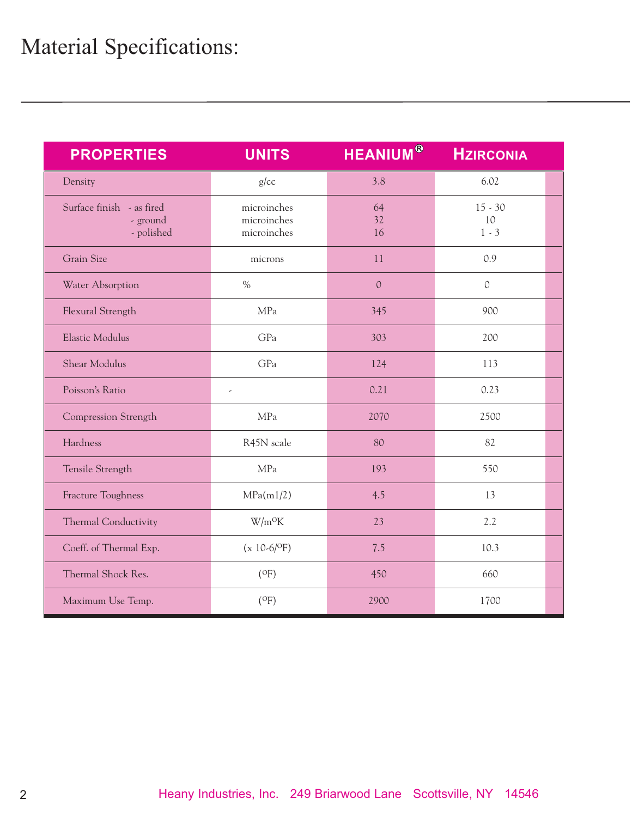| <b>PROPERTIES</b>                                   | <b>UNITS</b>                              | <b>HEANIUM®</b> | <b>HZIRCONIA</b>           |  |
|-----------------------------------------------------|-------------------------------------------|-----------------|----------------------------|--|
| Density                                             | g/cc                                      | 3.8             | 6.02                       |  |
| Surface finish - as fired<br>- ground<br>- polished | microinches<br>microinches<br>microinches | 64<br>32<br>16  | $15 - 30$<br>10<br>$1 - 3$ |  |
| <b>Grain Size</b>                                   | microns                                   | 11              | 0.9                        |  |
| Water Absorption                                    | $\%$                                      | $\mathcal{O}$   | $\mathcal{O}$              |  |
| Flexural Strength                                   | MPa                                       | 345             | 900                        |  |
| Elastic Modulus                                     | GPa                                       | 303             | 200                        |  |
| <b>Shear Modulus</b>                                | GPa                                       | 124             | 113                        |  |
| Poisson's Ratio                                     | $\overline{\phantom{a}}$                  | 0.21            | 0.23                       |  |
| Compression Strength                                | MPa                                       | 2070            | 2500                       |  |
| Hardness                                            | R45N scale                                | 80              | 82                         |  |
| Tensile Strength                                    | MPa                                       | 193             | 550                        |  |
| Fracture Toughness                                  | MPa(m1/2)                                 | 4.5             | 13                         |  |
| Thermal Conductivity                                | $W/m^oK$                                  | 23              | 2.2                        |  |
| Coeff. of Thermal Exp.                              | $(x 10-6/$ <sup>O</sup> F)                | 7.5             | 10.3                       |  |
| Thermal Shock Res.                                  | $($ <sup>O</sup> F $)$                    | 450             | 660                        |  |
| Maximum Use Temp.                                   | $($ <sup>O</sup> F $)$                    | 2900            | 1700                       |  |